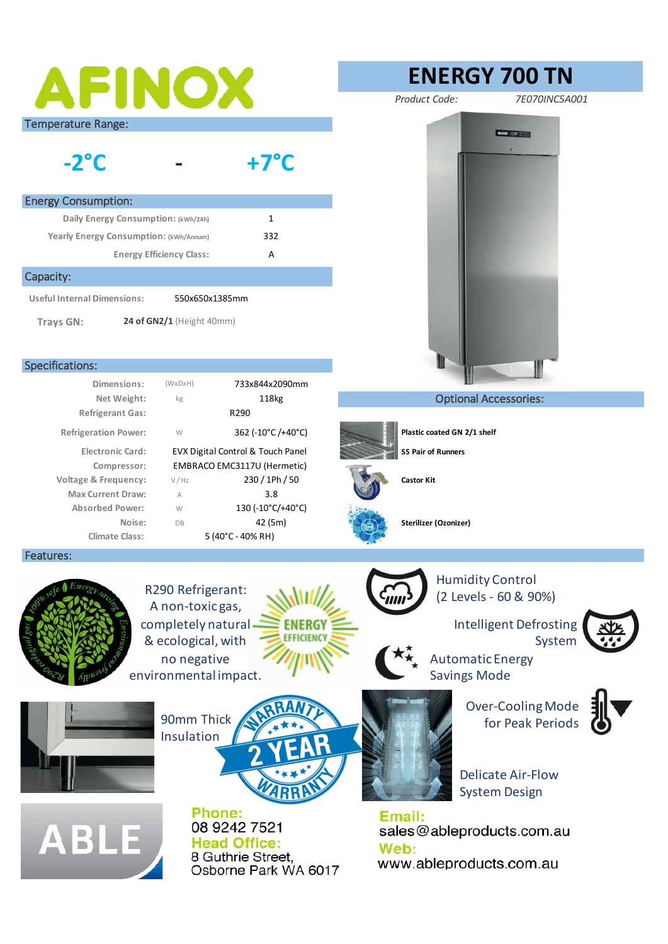|                                                | <b>AFINOX</b>                                                                                                   | <b>ENERGY 700 TN</b>                                                                        |
|------------------------------------------------|-----------------------------------------------------------------------------------------------------------------|---------------------------------------------------------------------------------------------|
|                                                |                                                                                                                 | Product Code:<br>7E070INC5A001                                                              |
| <b>Temperature Range:</b><br>$-2^{\circ}C$     | $+7^{\circ}$ C                                                                                                  | <b>MARKET DISCRIPTION</b>                                                                   |
| <b>Energy Consumption:</b>                     |                                                                                                                 |                                                                                             |
| Daily Energy Consumption: (kWh/24h)            | $\mathbf{1}$                                                                                                    |                                                                                             |
| Yearly Energy Consumption: (kWh/Annum)         | 332                                                                                                             |                                                                                             |
| <b>Energy Efficiency Class:</b>                | Α                                                                                                               |                                                                                             |
| Capacity:                                      |                                                                                                                 |                                                                                             |
| <b>Useful Internal Dimensions:</b>             | 550x650x1385mm                                                                                                  |                                                                                             |
|                                                |                                                                                                                 |                                                                                             |
| <b>Trays GN:</b>                               | 24 of GN2/1 (Height 40mm)                                                                                       |                                                                                             |
|                                                |                                                                                                                 |                                                                                             |
| Specifications:                                |                                                                                                                 |                                                                                             |
| Dimensions:                                    | 733x844x2090mm<br>$(W \times D \times H)$                                                                       |                                                                                             |
| Net Weight:                                    | 118kg<br>kg<br>R290                                                                                             | <b>Optional Accessories:</b>                                                                |
| <b>Refrigerant Gas:</b>                        |                                                                                                                 |                                                                                             |
| <b>Refrigeration Power:</b>                    | 362 (-10°C/+40°C)<br>W                                                                                          | Plastic coated GN 2/1 shelf                                                                 |
| <b>Electronic Card:</b>                        | EVX Digital Control & Touch Panel                                                                               | <b>SS Pair of Runners</b>                                                                   |
| Compressor:<br><b>Voltage &amp; Frequency:</b> | EMBRACO EMC3117U (Hermetic)<br>230 / 1Ph / 50<br>V / Hz                                                         | <b>Castor Kit</b>                                                                           |
| <b>Max Current Draw:</b>                       | 3.8<br>A                                                                                                        |                                                                                             |
| <b>Absorbed Power:</b>                         | 130 (-10°C/+40°C)<br>W                                                                                          |                                                                                             |
| Noise:                                         | 42 (5m)<br>DB                                                                                                   |                                                                                             |
|                                                |                                                                                                                 | Sterilizer (Ozonizer)                                                                       |
| <b>Climate Class:</b>                          | 5 (40°C - 40% RH)                                                                                               |                                                                                             |
|                                                | R290 Refrigerant:<br>A non-toxic gas,<br>completely natural<br><b>ENERG)</b><br>EFFICIENC<br>& ecological, with | <b>Humidity Control</b><br>(2 Levels - 60 & 90%)<br><b>Intelligent Defrosting</b><br>System |
| Features:                                      | no negative<br>environmental impact.                                                                            | <b>Automatic Energy</b><br><b>Savings Mode</b>                                              |
|                                                | 90mm Thick<br>Insulation                                                                                        | <b>Over-Cooling Mode</b><br>for Peak Periods                                                |
|                                                |                                                                                                                 | <b>Delicate Air-Flow</b><br><b>System Design</b>                                            |
|                                                | Phone:                                                                                                          | Email:                                                                                      |
|                                                | 08 9242 7521<br><b>Head Office:</b>                                                                             | sales@ableproducts.com.au                                                                   |
| <b>ABLE</b>                                    | 8 Guthrie Street,<br>Osborne Park WA 6017                                                                       | Web:<br>www.ableproducts.com.au                                                             |